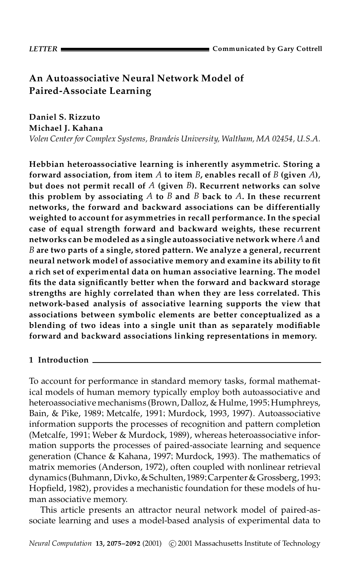# **An Autoassociative Neural Network Model of Paired-Associate Learning**

**Daniel S. Rizzuto Michael J. Kahana**

*Volen Center for Complex Systems, Brandeis University, Waltham, MA 02454, U.S.A.*

**Hebbian heteroassociative learning is inherently asymmetric. Storing a forward association, from item** *A* **to item** *B***, enables recall of** *B* **(given** *A***), but does not permit recall of** *A* **(given** *B***). Recurrent networks can solve this problem by associating** *A* **to** *B* **and** *B* **back to** *A***. In these recurrent networks, the forward and backward associations can be differentially weighted to account for asymmetries in recall performance. In the special case of equal strength forward and backward weights, these recurrent networks can be modeled as a single autoassociative network where** *A* **and** *B* **are two parts of a single, stored pattern. We analyze a general, recurrent neural network model of associative memory and examine its ability to t a rich set of experimental data on human associative learning. The model ts the data signicantly better when the forward and backward storage strengths are highly correlated than when they are less correlated. This network-based analysis of associative learning supports the view that associations between symbolic elements are better conceptualized as a blending of two ideas into a single unit than as separately modiable forward and backward associations linking representations in memory.**

## **1 Introduction**

To account for performance in standard memory tasks, formal mathematical models of human memory typically employ both autoassociative and heteroassociative mechanisms (Brown, Dalloz, & Hulme, 1995; Humphreys, Bain, & Pike, 1989; Metcalfe, 1991; Murdock, 1993, 1997). Autoassociative information supports the processes of recognition and pattern completion (Metcalfe, 1991; Weber & Murdock, 1989), whereas heteroassociative infor mation supports the processes of paired-associate learning and sequence generation (Chance & Kahana, 1997; Murdock, 1993). The mathematics of matrix memories (Anderson, 1972), often coupled with nonlinear retrieval dynamics (Buhmann, Divko, & Schulten, 1989; Carpenter & Grossberg, 1993; Hopfield, 1982), provides a mechanistic foundation for these models of human associative memory.

This article presents an attractor neural network model of paired-as sociate learning and uses a model-based analysis of experimental data to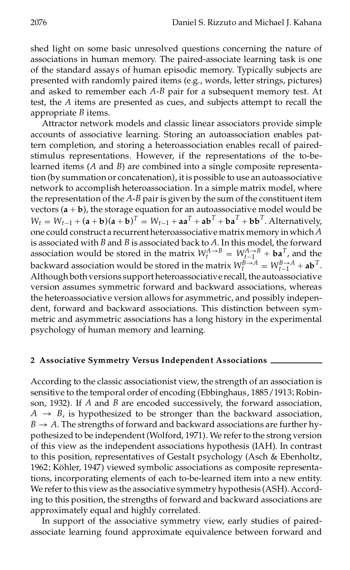shed light on some basic unresolved questions concerning the nature of associations in human memory. The paired-associate learning task is one of the standard assays of human episodic memory. Typically subjects are presented with randomly paired items (e.g., words, letter strings, pictures) and asked to remember each *A*-*B* pair for a subsequent memory test. At test, the *A* items are presented as cues, and subjects attempt to recall the appropriate *B* items.

Attractor network models and classic linear associators provide simple accounts of associative learning. Storing an autoassociation enables pattern completion, and storing a heteroassociation enables recall of paired stimulus representations. However, if the representations of the to-belearned items (*A* and *B*) are combined into a single composite representation (by summation or concatenation), itis possible to use an autoassociative network to accomplish heteroassociation. In a simple matrix model, where the representation of the *A*-*B* pairis given by the sum of the constituent item vectors  $(a + b)$ , the storage equation for an autoassociative model would be  $W_t = W_{t-1} + (\mathbf{a} + \mathbf{b})(\mathbf{a} + \mathbf{b})^T = W_{t-1} + \mathbf{a}\mathbf{a}^T + \mathbf{a}\mathbf{b}^T + \mathbf{b}\mathbf{a}^T + \mathbf{b}\mathbf{b}^T$ . Alternatively, one could construct a recurrentheteroassociative matrix memory in which *A* is associated with *B* and *B* is associated back to *A*. In this model, the forward association would be stored in the matrix  $W_t^{A \to B} = W_{t-1}^{A \to B} + \mathbf{ba}^T$ , and the backward association would be stored in the matrix  $W_t^{B \to A} = W_{t-1}^{B \to A} + ab^T$ . Although both versions support heteroassociative recall, the autoassociative version assumes symmetric forward and backward associations, whereas the heteroassociative version allows for asymmetric, and possibly indepen dent, forward and backward associations. This distinction between sym metric and asymmetric associations has a long history in the experimental psychology of human memory and learning.

#### **2 Associative Symmetry Versus Independent Associations**

According to the classic associationist view, the strength of an association is sensitive to the temporal order of encoding (Ebbinghaus, 1885/1913; Robinson, 1932). If *A* and *B* are encoded successively, the forward association,  $A \rightarrow B$ , is hypothesized to be stronger than the backward association,  $B \rightarrow A$ . The strengths of forward and backward associations are further hypothesized to be independent (Wolford, 1971). We refer to the strong version of this view as the independent associations hypothesis (IAH). In contrast to this position, representatives of Gestalt psychology (Asch & Ebenholtz, 1962; Köhler, 1947) viewed symbolic associations as composite representations, incorporating elements of each to-be-learned item into a new entity. We refer to this view as the associative symmetry hypothesis (ASH). According to this position, the strengths of forward and backward associations are approximately equal and highly correlated.

In support of the associative symmetry view, early studies of paired associate learning found approximate equivalence between forward and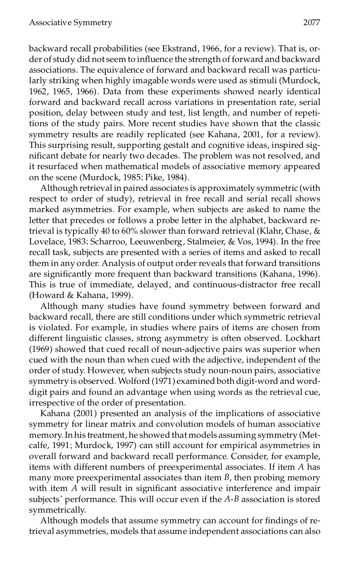backward recall probabilities (see Ekstrand, 1966, for a review). That is, or der of study did not seem to influence the strength of forward and backward associations. The equivalence of forward and backward recall was particularly striking when highly imagable words were used as stimuli (Murdock, 1962, 1965, 1966). Data from these experiments showed nearly identical forward and backward recall across variations in presentation rate, serial position, delay between study and test, list length, and number of repetitions of the study pairs. More recent studies have shown that the classic symmetry results are readily replicated (see Kahana, 2001, for a review). This surprising result, supporting gestalt and cognitive ideas, inspired sig nicant debate for nearly two decades. The problem was not resolved, and it resurfaced when mathematical models of associative memory appeared on the scene (Murdock, 1985; Pike, 1984).

Although retrieval in paired associates is approximately symmetric (with respect to order of study), retrieval in free recall and serial recall shows marked asymmetries. For example, when subjects are asked to name the letter that precedes or follows a probe letter in the alphabet, backward retrieval is typically 40 to 60% slower than forward retrieval (Klahr, Chase, & Lovelace, 1983; Scharroo, Leeuwenberg, Stalmeier, & Vos, 1994). In the free recall task, subjects are presented with a series of items and asked to recall them in any order. Analysis of output order reveals that forward transitions are signicantly more frequent than backward transitions (Kahana, 1996). This is true of immediate, delayed, and continuous-distractor free recall (Howard & Kahana, 1999).

Although many studies have found symmetry between forward and backward recall, there are still conditions under which symmetric retrieval is violated. For example, in studies where pairs of items are chosen from different linguistic classes, strong asymmetry is often observed. Lockhart (1969) showed that cued recall of noun-adjective pairs was superior when cued with the noun than when cued with the adjective, independent of the order of study. However, when subjects study noun-noun pairs, associative symmetry is observed. Wolford (1971) examined both digit-word and word digit pairs and found an advantage when using words as the retrieval cue, irrespective of the order of presentation.

Kahana (2001) presented an analysis of the implications of associative symmetry for linear matrix and convolution models of human associative memory.In his treatment, he showed that models assuming symmetry (Met calfe, 1991; Murdock, 1997) can still account for empirical asymmetries in overall forward and backward recall performance. Consider, for example, items with different numbers of preexperimental associates. If item *A* has many more preexperimental associates than item *B*, then probing memory with item  $\overline{A}$  will result in significant associative interference and impair subjects' performance. This will occur even if the *A*-*B* association is stored symmetrically.

Although models that assume symmetry can account for findings of retrieval asymmetries, models that assume independent associations can also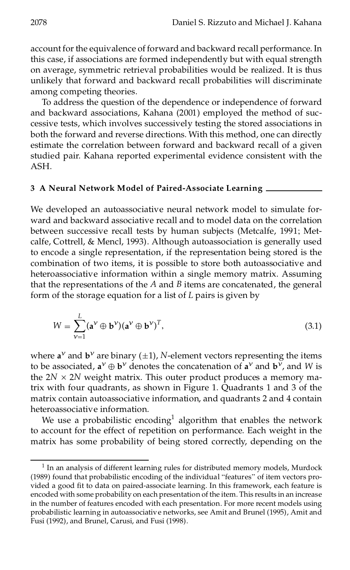account for the equivalence of forward and backward recall performance. In this case, if associations are formed independently but with equal strength on average, symmetric retrieval probabilities would be realized. It is thus unlikely that forward and backward recall probabilities will discriminate among competing theories.

To address the question of the dependence or independence of forward and backward associations, Kahana (2001) employed the method of suc cessive tests, which involves successively testing the stored associations in both the forward and reverse directions. With this method, one can directly estimate the correlation between forward and backward recall of a given studied pair. Kahana reported experimental evidence consistent with the ASH.

### **3 A Neural Network Model of Paired-Associate Learning**

We developed an autoassociative neural network model to simulate for ward and backward associative recall and to model data on the correlation between successive recall tests by human subjects (Metcalfe, 1991; Metcalfe, Cottrell, & Mencl, 1993). Although autoassociation is generally used to encode a single representation, if the representation being stored is the combination of two items, it is possible to store both autoassociative and heteroassociative information within a single memory matrix. Assuming that the representations of the *A* and *B* items are concatenated, the general form of the storage equation for a list of *L* pairs is given by

$$
W = \sum_{\nu=1}^{L} (\mathbf{a}^{\nu} \oplus \mathbf{b}^{\nu})(\mathbf{a}^{\nu} \oplus \mathbf{b}^{\nu})^T,
$$
\n(3.1)

where  $\mathbf{a}^{\nu}$  and  $\mathbf{b}^{\nu}$  are binary ( $\pm 1$ ), *N*-element vectors representing the items to be associated,  $\mathbf{a}^{\nu} \oplus \mathbf{b}^{\nu}$  denotes the concatenation of  $\mathbf{a}^{\nu}$  and  $\mathbf{b}^{\nu}$ , and W is the  $2N \times 2N$  weight matrix. This outer product produces a memory matrix with four quadrants, as shown in Figure 1. Quadrants 1 and 3 of the matrix contain autoassociative information, and quadrants 2 and 4 contain heteroassociative information.

We use a probabilistic encoding<sup>1</sup> algorithm that enables the network to account for the effect of repetition on performance. Each weight in the matrix has some probability of being stored correctly, depending on the

<sup>&</sup>lt;sup>1</sup> In an analysis of different learning rules for distributed memory models, Murdock (1989) found that probabilistic encoding of the individual "features" of item vectors pro vided a good fit to data on paired-associate learning. In this framework, each feature is encoded with some probability on each presentation of the item. This results in an increase in the number of features encoded with each presentation. For more recent models using probabilistic learning in autoassociative networks, see Amit and Brunel (1995), Amit and Fusi (1992), and Brunel, Carusi, and Fusi (1998).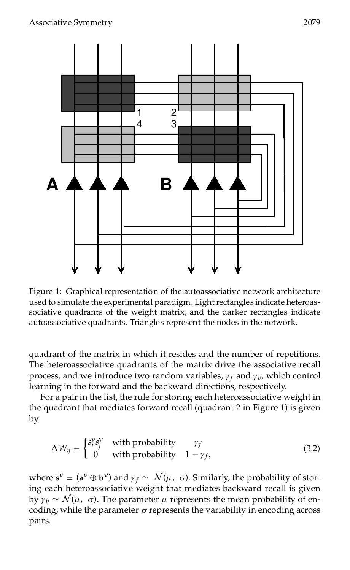

Figure 1: Graphical representation of the autoassociative network architecture used to simulate the experimental paradigm. Light rectangles indicate heteroassociative quadrants of the weight matrix, and the darker rectangles indicate autoassociative quadrants. Triangles represent the nodes in the network.

quadrant of the matrix in which it resides and the number of repetitions. The heteroassociative quadrants of the matrix drive the associative recall process, and we introduce two random variables,  $\gamma_f$  and  $\gamma_b$ , which control learning in the forward and the backward directions, respectively.

For a pair in the list, the rule for storing each heteroassociative weight in the quadrant that mediates forward recall (quadrant 2 in Figure 1) is given by

$$
\Delta W_{ij} = \begin{cases} s_i^{\gamma} s_j^{\gamma} & \text{with probability} \\ 0 & \text{with probability} \end{cases} \begin{cases} \gamma_f \\ 1 - \gamma_f, \end{cases}
$$
 (3.2)

where  $\mathbf{s}^{\nu} = (\mathbf{a}^{\nu} \oplus \mathbf{b}^{\nu})$  and  $\gamma_f \sim \mathcal{N}(\mu, \sigma)$ . Similarly, the probability of storing each heteroassociative weight that mediates backward recall is given by  $\gamma_b \sim \mathcal{N}(\mu, \sigma)$ . The parameter  $\mu$  represents the mean probability of encoding, while the parameter  $\sigma$  represents the variability in encoding across pairs.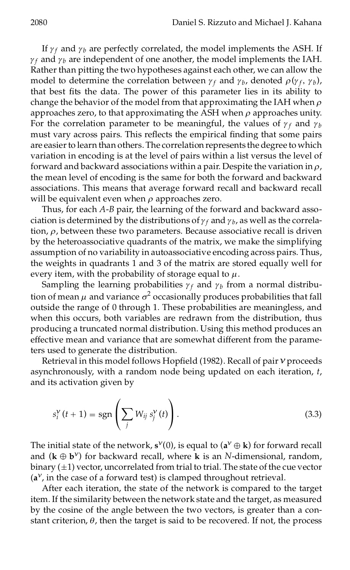If  $\gamma_f$  and  $\gamma_b$  are perfectly correlated, the model implements the ASH. If  $\gamma_f$  and  $\gamma_b$  are independent of one another, the model implements the IAH. Rather than pitting the two hypotheses against each other, we can allow the model to determine the correlation between  $\gamma_f$  and  $\gamma_b$ , denoted  $\rho(\gamma_f, \gamma_b)$ , that best fits the data. The power of this parameter lies in its ability to change the behavior of the model from that approximating the IAH when *r* approaches zero, to that approximating the ASH when  $\rho$  approaches unity. For the correlation parameter to be meaningful, the values of  $\gamma_f$  and  $\gamma_b$ must vary across pairs. This reflects the empirical finding that some pairs are easier to learn than others. The correlation represents the degree to which variation in encoding is at the level of pairs within a list versus the level of forward and backward associations within a pair. Despite the variation in  $\rho$ , the mean level of encoding is the same for both the forward and backward associations. This means that average forward recall and backward recall will be equivalent even when  $\rho$  approaches zero.

Thus, for each *A*-*B* pair, the learning of the forward and backward asso ciation is determined by the distributions of  $\gamma_f$  and  $\gamma_b$ , as well as the correlation,  $\rho$ , between these two parameters. Because associative recall is driven by the heteroassociative quadrants of the matrix, we make the simplifying assumption of no variability in autoassociative encoding across pairs. Thus, the weights in quadrants 1 and 3 of the matrix are stored equally well for every item, with the probability of storage equal to *m*.

Sampling the learning probabilities  $\gamma_f$  and  $\gamma_b$  from a normal distribution of mean  $\mu$  and variance  $\sigma^2$  occasionally produces probabilities that fall outside the range of 0 through 1.These probabilities are meaningless, and when this occurs, both variables are redrawn from the distribution, thus producing a truncated normal distribution. Using this method produces an effective mean and variance that are somewhat different from the parameters used to generate the distribution.

Retrieval in this model follows Hopfield (1982). Recall of pair  $v$  proceeds asynchronously, with a random node being updated on each iteration, *t*, and its activation given by

$$
s_i^{\mathbf{v}}(t+1) = \operatorname{sgn}\left(\sum_j W_{ij} s_j^{\mathbf{v}}(t)\right). \tag{3.3}
$$

The initial state of the network,  $\mathbf{s}^{\nu}(0)$ , is equal to  $(\mathbf{a}^{\nu} \oplus \mathbf{k})$  for forward recall and  $(\mathbf{k} \oplus \mathbf{b}^{\nu})$  for backward recall, where **k** is an *N*-dimensional, random, binary  $(\pm 1)$  vector, uncorrelated from trial to trial. The state of the cue vector  $(a^{\nu})$ , in the case of a forward test) is clamped throughout retrieval.

After each iteration, the state of the network is compared to the target item. If the similarity between the network state and the target, as measured by the cosine of the angle between the two vectors, is greater than a con stant criterion,  $\theta$ , then the target is said to be recovered. If not, the process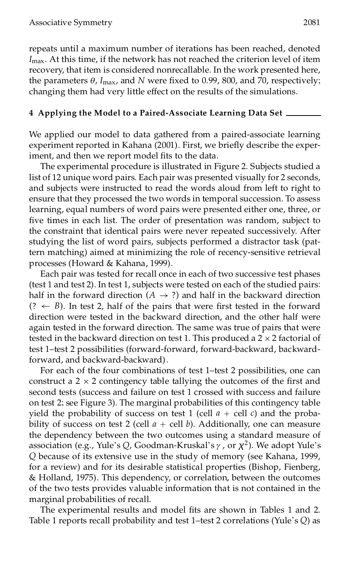repeats until a maximum number of iterations has been reached, denoted *I*max. At this time, if the network has not reached the criterion level of item recovery, that item is considered nonrecallable. In the work presented here, the parameters  $\theta$ ,  $I_{\text{max}}$ , and  $N$  were fixed to 0.99, 800, and 70, respectively; changing them had very little effect on the results of the simulations.

## **4 Applying the Model to a Paired-Associate Learning Data Set**

We applied our model to data gathered from a paired-associate learning experiment reported in Kahana (2001). First, we briefly describe the experiment, and then we report model fits to the data.

The experimental procedure is illustrated in Figure 2. Subjects studied a list of 12 unique word pairs. Each pair was presented visually for 2 seconds, and subjects were instructed to read the words aloud from left to right to ensure that they processed the two words in temporal succession. To assess learning, equal numbers of word pairs were presented either one, three, or five times in each list. The order of presentation was random, subject to the constraint that identical pairs were never repeated successively. After studying the list of word pairs, subjects performed a distractor task (pattern matching) aimed at minimizing the role of recency-sensitive retrieval processes (Howard & Kahana, 1999).

Each pair was tested for recall once in each of two successive test phases (test 1 and test 2). In test 1, subjects were tested on each of the studied pairs: half in the forward direction ( $A \rightarrow ?$ ) and half in the backward direction  $(? \leftarrow B)$ . In test 2, half of the pairs that were first tested in the forward direction were tested in the backward direction, and the other half were again tested in the forward direction. The same was true of pairs that were tested in the backward direction on test 1. This produced a  $2 \times 2$  factorial of test 1–test 2 possibilities (forward-forward, forward-backward, backwardforward, and backward-backward).

For each of the four combinations of test 1–test 2 possibilities, one can construct a  $2 \times 2$  contingency table tallying the outcomes of the first and second tests (success and failure on test 1 crossed with success and failure on test 2; see Figure 3). The marginal probabilities of this contingency table yield the probability of success on test 1 (cell  $a +$  cell *c*) and the probability of success on test 2 (cell  $a$  + cell  $b$ ). Additionally, one can measure the dependency between the two outcomes using a standard measure of association (e.g., Yule's *Q*, Goodman-Kruskal's *c* , or *Â* 2 ). We adopt Yule's *Q* because of its extensive use in the study of memory (see Kahana, 1999, for a review) and for its desirable statistical properties (Bishop, Fienberg, & Holland, 1975). This dependency, or correlation, between the outcomes of the two tests provides valuable information that is not contained in the marginal probabilities of recall.

The experimental results and model fits are shown in Tables 1 and 2. Table 1 reports recall probability and test 1–test 2 correlations (Yule's *Q*) as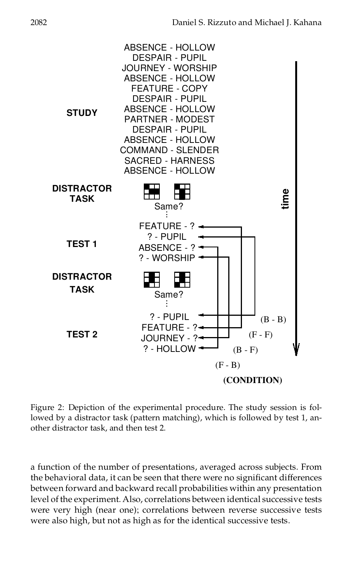

Figure 2: Depiction of the experimental procedure. The study session is followed by a distractor task (pattern matching), which is followed by test 1, an other distractor task, and then test 2.

a function of the number of presentations, averaged across subjects. From the behavioral data, it can be seen that there were no significant differences between forward and backward recall probabilities within any presentation level of the experiment. Also, correlations between identical successive tests were very high (near one); correlations between reverse successive tests were also high, but not as high as for the identical successive tests.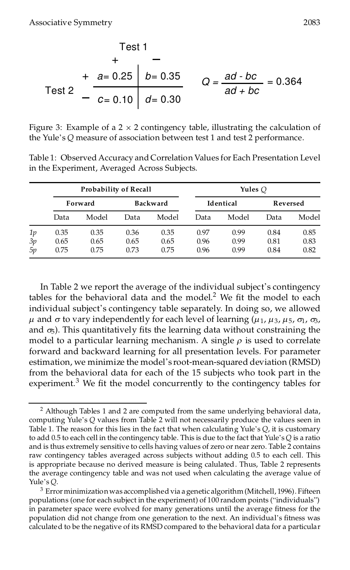Test 1  
+ -  
+ 
$$
a= 0.25
$$
 b = 0.35  
 $Q = \frac{ad - bc}{ad + bc} = 0.364$   
Test 2 -  $\frac{a}{c} = 0.10$  d = 0.30

Figure 3: Example of a  $2 \times 2$  contingency table, illustrating the calculation of the Yule's *Q* measure of association between test 1 and test 2 performance.

Table 1: Observed Accuracy and Correlation Values for Each Presentation Level in the Experiment, Averaged Across Subjects.

|    |         | <b>Probability of Recall</b> |                 |       | Yules $O$        |       |          |       |
|----|---------|------------------------------|-----------------|-------|------------------|-------|----------|-------|
|    | Forward |                              | <b>Backward</b> |       | <b>Identical</b> |       | Reversed |       |
|    | Data    | Model                        | Data            | Model | Data             | Model | Data     | Model |
| 1p | 0.35    | 0.35                         | 0.36            | 0.35  | 0.97             | 0.99  | 0.84     | 0.85  |
| 3p | 0.65    | 0.65                         | 0.65            | 0.65  | 0.96             | 0.99  | 0.81     | 0.83  |
| 5p | 0.75    | 0.75                         | 0.73            | 0.75  | 0.96             | 0.99  | 0.84     | 0.82  |

In Table 2 we report the average of the individual subject's contingency tables for the behavioral data and the model.<sup>2</sup> We fit the model to each individual subject's contingency table separately. In doing so, we allowed  $\mu$  and  $\sigma$  to vary independently for each level of learning ( $\mu_1$ ,  $\mu_3$ ,  $\mu_5$ ,  $\sigma_1$ ,  $\sigma_3$ , and  $\sigma$ <sub>5</sub>). This quantitatively fits the learning data without constraining the model to a particular learning mechanism. A single  $\rho$  is used to correlate forward and backward learning for all presentation levels. For parameter estimation, we minimize the model's root-mean-squared deviation (RMSD) from the behavioral data for each of the 15 subjects who took part in the experiment. $3$  We fit the model concurrently to the contingency tables for

<sup>&</sup>lt;sup>2</sup> Although Tables 1 and 2 are computed from the same underlying behavioral data, computing Yule's *Q* values from Table 2 will not necessarily produce the values seen in Table 1. The reason for this lies in the fact that when calculating Yule's *Q*, it is customary to add 0.5 to each cell in the contingency table. This is due to the fact that Yule's*Q* is a ratio and is thus extremely sensitive to cells having values of zero or near zero. Table 2 contains raw contingency tables averaged across subjects without adding 0.5 to each cell. This is appropriate because no derived measure is being calulated. Thus, Table 2 represents the average contingency table and was not used when calculating the average value of Yule's *Q*.

 $3$  Error minimization was accomplished via a genetic algorithm (Mitchell, 1996). Fifteen populations (one for each subject in the experiment) of 100 random points ("individuals") in parameter space were evolved for many generations until the average fitness for the population did not change from one generation to the next. An individual's fitness was calculated to be the negative of its RMSD compared to the behavioral data for a particular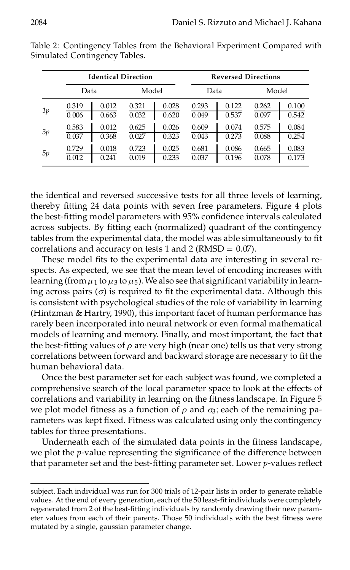|    |       | <b>Identical Direction</b> |       |       | <b>Reversed Directions</b> |       |       |       |  |
|----|-------|----------------------------|-------|-------|----------------------------|-------|-------|-------|--|
|    | Data  |                            | Model |       | Data                       |       | Model |       |  |
| 1p | 0.319 | 0.012                      | 0.321 | 0.028 | 0.293                      | 0.122 | 0.262 | 0.100 |  |
|    | 0.006 | 0.663                      | 0.032 | 0.620 | 0.049                      | 0.537 | 0.097 | 0.542 |  |
| 3p | 0.583 | 0.012                      | 0.625 | 0.026 | 0.609                      | 0.074 | 0.575 | 0.084 |  |
|    | 0.037 | 0.368                      | 0.027 | 0.323 | 0.043                      | 0.273 | 0.088 | 0.254 |  |
| 5p | 0.729 | 0.018                      | 0.723 | 0.025 | 0.681                      | 0.086 | 0.665 | 0.083 |  |
|    | 0.012 | 0.241                      | 0.019 | 0.233 | 0.037                      | 0.196 | 0.078 | 0.173 |  |

Table 2: Contingency Tables from the Behavioral Experiment Compared with Simulated Contingency Tables.

the identical and reversed successive tests for all three levels of learning, thereby fitting 24 data points with seven free parameters. Figure 4 plots the best-fitting model parameters with 95% confidence intervals calculated across subjects. By fitting each (normalized) quadrant of the contingency tables from the experimental data, the model was able simultaneously to fit correlations and accuracy on tests 1 and 2 (RMSD  $= 0.07$ ).

These model fits to the experimental data are interesting in several respects. As expected, we see that the mean level of encoding increases with learning (from  $\mu_1$  to  $\mu_3$  to  $\mu_5$ ). We also see that significant variability in learning across pairs  $(\sigma)$  is required to fit the experimental data. Although this is consistent with psychological studies of the role of variability in learning (Hintzman & Hartry, 1990), this important facet of human performance has rarely been incorporated into neural network or even formal mathematical models of learning and memory. Finally, and most important, the fact that the best-fitting values of  $\rho$  are very high (near one) tells us that very strong correlations between forward and backward storage are necessary to fit the human behavioral data.

Once the best parameter set for each subject was found, we completed a comprehensive search of the local parameter space to look at the effects of correlations and variability in learning on the fitness landscape. In Figure 5 we plot model fitness as a function of  $\rho$  and  $\sigma_3$ ; each of the remaining parameters was kept fixed. Fitness was calculated using only the contingency tables for three presentations.

Underneath each of the simulated data points in the fitness landscape, we plot the *p*-value representing the significance of the difference between that parameter set and the best-fitting parameter set. Lower *p*-values reflect

subject. Each individual was run for 300 trials of 12-pair lists in order to generate reliable values. At the end of every generation, each of the 50 least-fit individuals were completely regenerated from 2 of the best-fitting individuals by randomly drawing their new parameter values from each of their parents. Those 50 individuals with the best fitness were mutated by a single, gaussian parameter change.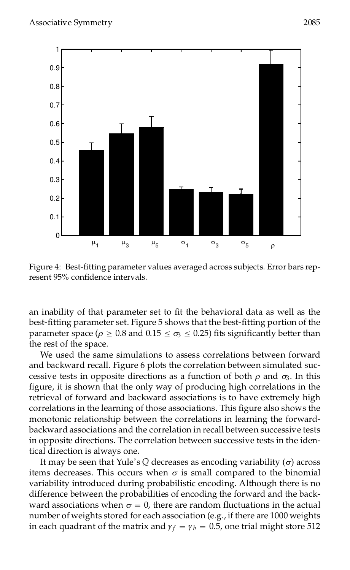

Figure 4: Best-fitting parameter values averaged across subjects. Error bars represent 95% confidence intervals.

an inability of that parameter set to fit the behavioral data as well as the best-fitting parameter set. Figure 5 shows that the best-fitting portion of the parameter space ( $\rho \ge 0.8$  and  $0.15 \le \sigma_3 \le 0.25$ ) fits significantly better than the rest of the space.

We used the same simulations to assess correlations between forward and backward recall. Figure 6 plots the correlation between simulated suc cessive tests in opposite directions as a function of both  $\rho$  and  $\sigma_3$ . In this figure, it is shown that the only way of producing high correlations in the retrieval of forward and backward associations is to have extremely high correlations in the learning of those associations. This figure also shows the monotonic relationship between the correlations in learning the forward backward associations and the correlation in recall between successive tests in opposite directions. The correlation between successive tests in the identical direction is always one.

It may be seen that Yule's  $Q$  decreases as encoding variability  $(σ)$  across items decreases. This occurs when  $\sigma$  is small compared to the binomial variability introduced during probabilistic encoding. Although there is no difference between the probabilities of encoding the forward and the back ward associations when  $\sigma = 0$ , there are random fluctuations in the actual number of weights stored for each association (e.g., if there are 1000 weights in each quadrant of the matrix and  $\gamma_f = \gamma_b = 0.5$ , one trial might store 512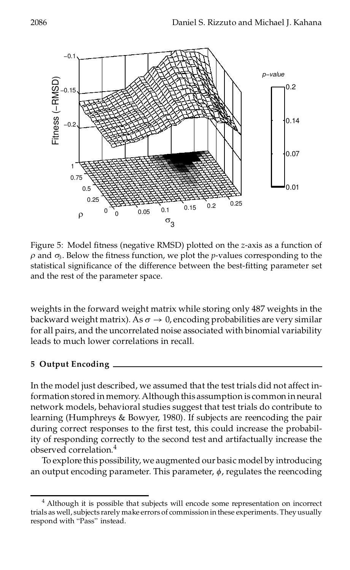

Figure 5: Model fitness (negative RMSD) plotted on the *z*-axis as a function of  $\rho$  and  $\sigma_3$ . Below the fitness function, we plot the *p*-values corresponding to the statistical significance of the difference between the best-fitting parameter set and the rest of the parameter space.

weights in the forward weight matrix while storing only 487 weights in the backward weight matrix). As  $\sigma \to 0$ , encoding probabilities are very similar for all pairs, and the uncorrelated noise associated with binomial variability leads to much lower correlations in recall.

## **5 Output Encoding**

In the model just described, we assumed that the test trials did not affect information stored in memory. Although this assumption is common in neural network models, behavioral studies suggest that test trials do contribute to learning (Humphreys & Bowyer, 1980). If subjects are reencoding the pair during correct responses to the first test, this could increase the probability of responding correctly to the second test and artifactually increase the observed correlation.<sup>4</sup>

To explore this possibility, we augmented our basic model by introducing an output encoding parameter. This parameter, *w*, regulates the reencoding

<sup>4</sup> Although it is possible that subjects will encode some representation on incorrect trials as well, subjects rarely make errors of commissionin these experiments.Theyusually respond with "Pass" instead.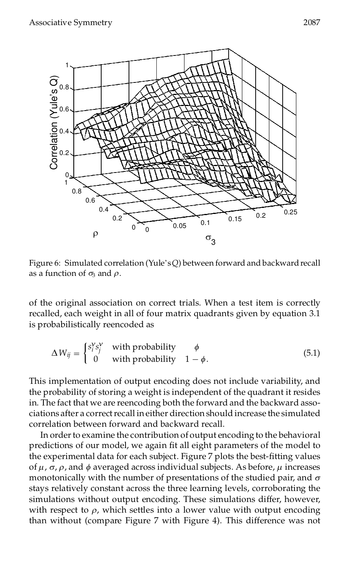

Figure 6: Simulated correlation (Yule's Q) between forward and backward recall as a function of  $\sigma_3$  and  $\rho$ .

of the original association on correct trials. When a test item is correctly recalled, each weight in all of four matrix quadrants given by equation 3.1 is probabilistically reencoded as

$$
\Delta W_{ij} = \begin{cases} s_i^{\mathsf{V}} s_j^{\mathsf{V}} & \text{with probability} \\ 0 & \text{with probability} \quad 1 - \phi. \end{cases} \tag{5.1}
$$

This implementation of output encoding does not include variability, and the probability of storing a weight is independent of the quadrant it resides in. The fact that we are reencoding both the forward and the backward asso ciations after a correct recall in either direction should increase the simulated correlation between forward and backward recall.

In order to examine the contribution of output encoding to the behavioral predictions of our model, we again fit all eight parameters of the model to the experimental data for each subject. Figure 7 plots the best-fitting values of  $\mu$ ,  $\sigma$ ,  $\rho$ , and  $\phi$  averaged across individual subjects. As before,  $\mu$  increases monotonically with the number of presentations of the studied pair, and  $\sigma$ stays relatively constant across the three learning levels, corroborating the simulations without output encoding. These simulations differ, however, with respect to  $\rho$ , which settles into a lower value with output encoding than without (compare Figure 7 with Figure 4). This difference was not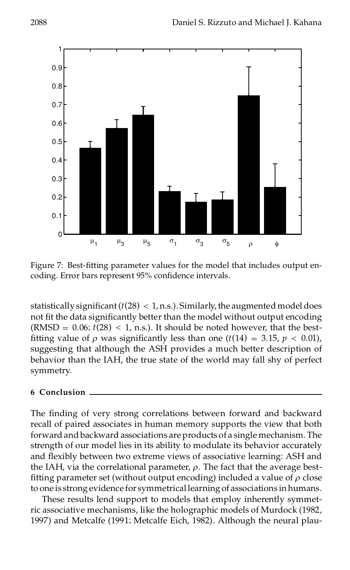



Figure 7: Best-fitting parameter values for the model that includes output encoding. Error bars represent 95% confidence intervals.

statistically significant  $(t(28) < 1, n.s.$ ). Similarly, the augmented model does not fit the data significantly better than the model without output encoding (RMSD =  $0.06$ ;  $t(28)$  < 1, n.s.). It should be noted however, that the bestfitting value of  $\rho$  was significantly less than one ( $t(14) = 3.15$ ,  $p < 0.01$ ), suggesting that although the ASH provides a much better description of behavior than the IAH, the true state of the world may fall shy of perfect symmetry.

## **6 Conclusion**

The finding of very strong correlations between forward and backward recall of paired associates in human memory supports the view that both forward and backward associations are products of a single mechanism. The strength of our model lies in its ability to modulate its behavior accurately and flexibly between two extreme views of associative learning: ASH and the IAH, via the correlational parameter,  $\rho$ . The fact that the average bestfitting parameter set (without output encoding) included a value of  $\rho$  close to one is strong evidence for symmetricallearning of associations in humans.

These results lend support to models that employ inherently symmet ric associative mechanisms, like the holographic models of Murdock (1982, 1997) and Metcalfe (1991; Metcalfe Eich, 1982). Although the neural plau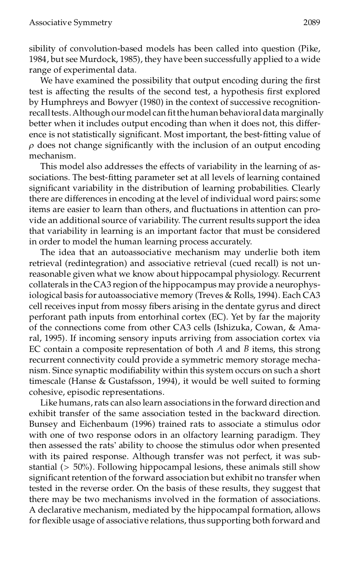sibility of convolution-based models has been called into question (Pike, 1984, but see Murdock, 1985), they have been successfully applied to a wide range of experimental data.

We have examined the possibility that output encoding during the first test is affecting the results of the second test, a hypothesis first explored by Humphreys and Bowyer (1980) in the context of successive recognition recall tests. Although our model can fit the human behavioral data marginally better when it includes output encoding than when it does not, this differ ence is not statistically significant. Most important, the best-fitting value of  $\rho$  does not change significantly with the inclusion of an output encoding mechanism.

This model also addresses the effects of variability in the learning of as sociations. The best-fitting parameter set at all levels of learning contained significant variability in the distribution of learning probabilities. Clearly there are differences in encoding at the level of individual word pairs; some items are easier to learn than others, and fluctuations in attention can provide an additional source of variability. The current results support the idea that variability in learning is an important factor that must be considered in order to model the human learning process accurately.

The idea that an autoassociative mechanism may underlie both item retrieval (redintegration) and associative retrieval (cued recall) is not un reasonable given what we know about hippocampal physiology. Recurrent collaterals in the CA3 region of the hippocampus may provide a neurophysiological basis for autoassociative memory (Treves & Rolls, 1994). Each CA3 cell receives input from mossy fibers arising in the dentate gyrus and direct perforant path inputs from entorhinal cortex (EC). Yet by far the majority of the connections come from other CA3 cells (Ishizuka, Cowan, & Ama ral, 1995). If incoming sensory inputs arriving from association cortex via EC contain a composite representation of both *A* and *B* items, this strong recurrent connectivity could provide a symmetric memory storage mecha nism. Since synaptic modifiability within this system occurs on such a short timescale (Hanse & Gustafsson, 1994), it would be well suited to forming cohesive, episodic representations.

Like humans, rats can also learn associations in the forward direction and exhibit transfer of the same association tested in the backward direction. Bunsey and Eichenbaum (1996) trained rats to associate a stimulus odor with one of two response odors in an olfactory learning paradigm. They then assessed the rats' ability to choose the stimulus odor when presented with its paired response. Although transfer was not perfect, it was sub stantial (> 50%). Following hippocampal lesions, these animals still show significant retention of the forward association but exhibit no transfer when tested in the reverse order. On the basis of these results, they suggest that there may be two mechanisms involved in the formation of associations. A declarative mechanism, mediated by the hippocampal formation, allows for flexible usage of associative relations, thus supporting both forward and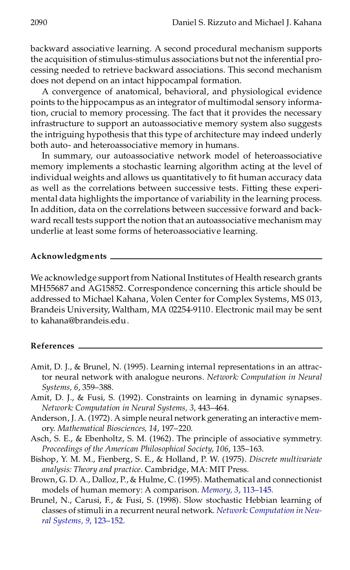backward associative learning. A second procedural mechanism supports the acquisition of stimulus-stimulus associations but not the inferential pro cessing needed to retrieve backward associations. This second mechanism does not depend on an intact hippocampal formation.

A convergence of anatomical, behavioral, and physiological evidence points to the hippocampus as an integrator of multimodal sensory information, crucial to memory processing. The fact that it provides the necessary infrastructure to support an autoassociative memory system also suggests the intriguing hypothesis that this type of architecture may indeed underly both auto- and heteroassociative memory in humans.

In summary, our autoassociative network model of heteroassociative memory implements a stochastic learning algorithm acting at the level of individual weights and allows us quantitatively to fit human accuracy data as well as the correlations between successive tests. Fitting these experi mental data highlights the importance of variability in the learning process. In addition, data on the correlations between successive forward and back ward recall tests support the notion that an autoassociative mechanism may underlie at least some forms of heteroassociative learning.

#### **Acknowledgments**

We acknowledge support from National Institutes of Health research grants MH55687 and AG15852. Correspondence concerning this article should be addressed to Michael Kahana, Volen Center for Complex Systems, MS 013, Brandeis University, Waltham, MA 02254-9110. Electronic mail may be sent to kahana@brandeis.edu.

#### **References**

- Amit, D. J., & Brunel, N. (1995). Learning internal representations in an attractor neural network with analogue neurons. *Network: Computation in Neural Systems, 6*, 359–388.
- Amit, D. J., & Fusi, S. (1992). Constraints on learning in dynamic synapses. *Network: Computation in Neural Systems, 3*, 443–464.
- Anderson, J. A. (1972). A simple neural network generating an interactive mem ory. *Mathematical Biosciences, 14*, 197–220.
- Asch, S. E., & Ebenholtz, S. M. (1962). The principle of associative symmetry. *Proceedings of the American Philosophical Society, 106*, 135–163.
- Bishop, Y. M. M., Fienberg, S. E., & Holland, P. W. (1975). *Discrete multivariate analysis: Theory and practice*. Cambridge, MA: MIT Press.
- Brown, G. D. A., Dalloz, P., & Hulme, C. (1995). Mathematical and connectionist models of human memory: A comparison. *[Memory,](http://giorgio.catchword.com/nw=1/rpsv/0965-8211^28^293L.113[aid=785441]) 3*, 113–145.
- Brunel, N., Carusi, F., & Fusi, S. (1998). Slow stochastic Hebbian learning of classes of stimuli in a recurrent neural network. *Network:[Computation](http://giorgio.catchword.com/nw=1/rpsv/0954-898X^28^299L.123[aid=216005]) in Neural Systems, 9*, [123–152.](http://giorgio.catchword.com/nw=1/rpsv/0954-898X^28^299L.123[aid=216005])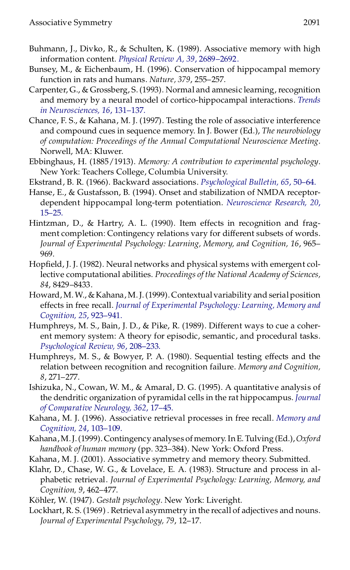- Buhmann, J., Divko, R., & Schulten, K. (1989). Associative memory with high information content. *Physical Review A, 39*, [2689–2692.](http://giorgio.catchword.com/nw=1/rpsv/1050-2947^28^2939L.2689[aid=218508])
- Bunsey, M., & Eichenbaum, H. (1996). Conservation of hippocampal memory function in rats and humans. *Nature, 379*, 255–257.
- Carpenter, G., & Grossberg, S. (1993). Normal and amnesic learning, recognition and memory by a neural model of cortico-hippocampal interactions. *[Trends](http://giorgio.catchword.com/nw=1/rpsv/0166-2236^28^2916L.131[aid=846676]) in [Neurosciences,](http://giorgio.catchword.com/nw=1/rpsv/0166-2236^28^2916L.131[aid=846676]) 16*, 131–137.
- Chance, F. S., & Kahana, M. J. (1997). Testing the role of associative interference and compound cues in sequence memory. In J. Bower (Ed.), *The neurobiology of computation: Proceedings of the Annual Computational Neuroscience Meeting*. Norwell, MA: Kluwer.
- Ebbinghaus, H. (1885/1913). *Memory: A contribution to experimental psychology*. New York: Teachers College, Columbia University.
- Ekstrand, B. R. (1966). Backward associations. *[Psychological](http://giorgio.catchword.com/nw=1/rpsv/0033-2909^28^2965L.50[aid=309862]) Bulletin, 65*, 50–64.
- Hanse, E., & Gustafsson, B. (1994). Onset and stabilization of NMDA receptor dependent hippocampal long-term potentiation. *[Neuroscience](http://giorgio.catchword.com/nw=1/rpsv/0168-0102^28^2920L.15[aid=1326626]) Research, 20*, [15–25.](http://giorgio.catchword.com/nw=1/rpsv/0168-0102^28^2920L.15[aid=1326626])
- Hintzman, D., & Hartry, A. L. (1990). Item effects in recognition and frag ment completion: Contingency relations vary for different subsets of words. *Journal of Experimental Psychology: Learning, Memory, and Cognition, 16*, 965– 969.
- Hopfield, J. J. (1982). Neural networks and physical systems with emergent collective computational abilities. *Proceedings of the National Academy of Sciences, 84*, 8429–8433.
- Howard, M.W., & Kahana, M.J. (1999). Contextual variability and serial position effects in free recall. *Journal of [Experimental](http://giorgio.catchword.com/nw=1/rpsv/0278-7393^28^2925L.923[aid=289689]) Psychology: Learning, Memory and [Cognition,](http://giorgio.catchword.com/nw=1/rpsv/0278-7393^28^2925L.923[aid=289689]) 25*, 923–941.
- Humphreys, M. S., Bain, J. D., & Pike, R. (1989). Different ways to cue a coher ent memory system: A theory for episodic, semantic, and procedural tasks. *[Psychological](http://giorgio.catchword.com/nw=1/rpsv/0033-295X^28^2996L.208[aid=289690]) Review, 96*, 208–233.
- Humphreys, M. S., & Bowyer, P. A. (1980). Sequential testing effects and the relation between recognition and recognition failure. *Memory and Cognition, 8*, 271–277.
- Ishizuka, N., Cowan, W. M., & Amaral, D. G. (1995). A quantitative analysis of the dendritic organization of pyramidal cells in the rat hippocampus. *[Journal](http://giorgio.catchword.com/nw=1/rpsv/0021-9967^28^29362L.17[aid=218306]) of [Comparative](http://giorgio.catchword.com/nw=1/rpsv/0021-9967^28^29362L.17[aid=218306]) Neurology, 362*, 17–45.
- Kahana, M. J. (1996). Associative retrieval processes in free recall. *[Memory](http://giorgio.catchword.com/nw=1/rpsv/0090-502X^28^2924L.103[aid=289692]) and [Cognition,](http://giorgio.catchword.com/nw=1/rpsv/0090-502X^28^2924L.103[aid=289692]) 24*, 103–109.
- Kahana,M.J.(1999). Contingency analyses of memory.InE. Tulving (Ed.),*Oxford handbook of human memory* (pp. 323–384). New York: Oxford Press.
- Kahana, M. J. (2001). Associative symmetry and memory theory. Submitted.
- Klahr, D., Chase, W. G., & Lovelace, E. A. (1983). Structure and process in al phabetic retrieval. *Journal of Experimental Psychology: Learning, Memory, and Cognition, 9*, 462–477.
- Köhler, W. (1947). *Gestalt psychology*. New York: Liveright.
- Lockhart, R. S. (1969) . Retrieval asymmetry in the recall of adjectives and nouns. *Journal of Experimental Psychology, 79*, 12–17.